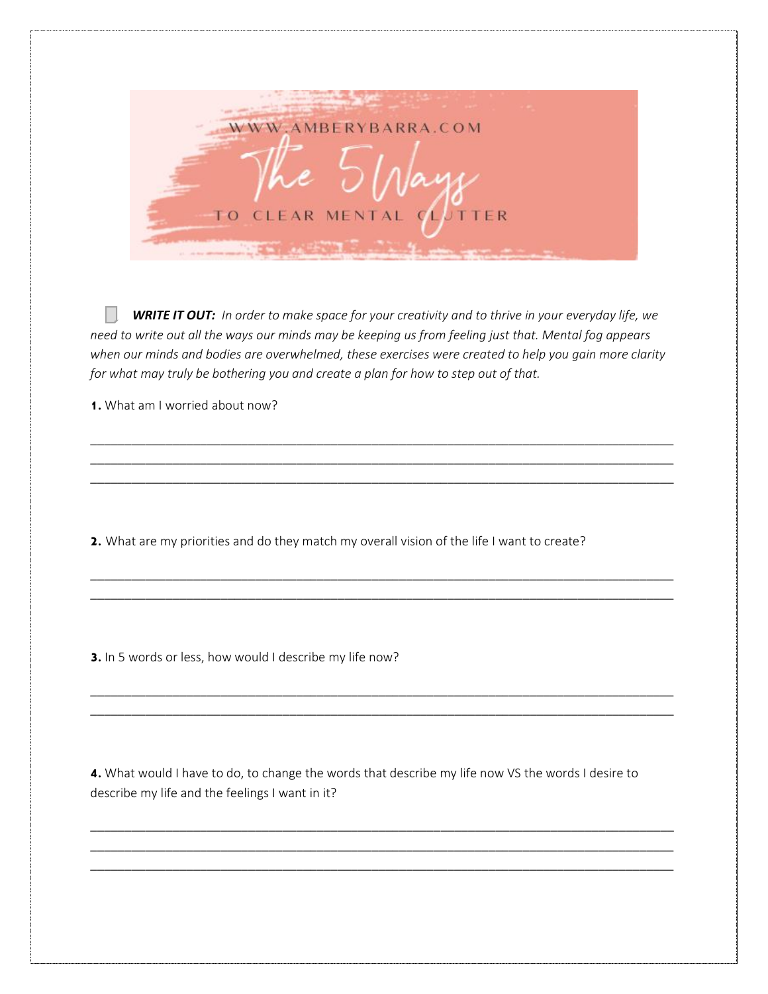

*WRITE IT OUT: In order to make space for your creativity and to thrive in your everyday life, we need to write out all the ways our minds may be keeping us from feeling just that. Mental fog appears when our minds and bodies are overwhelmed, these exercises were created to help you gain more clarity for what may truly be bothering you and create a plan for how to step out of that.* 

\_\_\_\_\_\_\_\_\_\_\_\_\_\_\_\_\_\_\_\_\_\_\_\_\_\_\_\_\_\_\_\_\_\_\_\_\_\_\_\_\_\_\_\_\_\_\_\_\_\_\_\_\_\_\_\_\_\_\_\_\_\_\_\_\_\_\_\_\_\_\_\_\_\_\_\_\_\_\_\_\_\_\_\_\_ \_\_\_\_\_\_\_\_\_\_\_\_\_\_\_\_\_\_\_\_\_\_\_\_\_\_\_\_\_\_\_\_\_\_\_\_\_\_\_\_\_\_\_\_\_\_\_\_\_\_\_\_\_\_\_\_\_\_\_\_\_\_\_\_\_\_\_\_\_\_\_\_\_\_\_\_\_\_\_\_\_\_\_\_\_ \_\_\_\_\_\_\_\_\_\_\_\_\_\_\_\_\_\_\_\_\_\_\_\_\_\_\_\_\_\_\_\_\_\_\_\_\_\_\_\_\_\_\_\_\_\_\_\_\_\_\_\_\_\_\_\_\_\_\_\_\_\_\_\_\_\_\_\_\_\_\_\_\_\_\_\_\_\_\_\_\_\_\_\_\_

\_\_\_\_\_\_\_\_\_\_\_\_\_\_\_\_\_\_\_\_\_\_\_\_\_\_\_\_\_\_\_\_\_\_\_\_\_\_\_\_\_\_\_\_\_\_\_\_\_\_\_\_\_\_\_\_\_\_\_\_\_\_\_\_\_\_\_\_\_\_\_\_\_\_\_\_\_\_\_\_\_\_\_\_\_ \_\_\_\_\_\_\_\_\_\_\_\_\_\_\_\_\_\_\_\_\_\_\_\_\_\_\_\_\_\_\_\_\_\_\_\_\_\_\_\_\_\_\_\_\_\_\_\_\_\_\_\_\_\_\_\_\_\_\_\_\_\_\_\_\_\_\_\_\_\_\_\_\_\_\_\_\_\_\_\_\_\_\_\_\_

\_\_\_\_\_\_\_\_\_\_\_\_\_\_\_\_\_\_\_\_\_\_\_\_\_\_\_\_\_\_\_\_\_\_\_\_\_\_\_\_\_\_\_\_\_\_\_\_\_\_\_\_\_\_\_\_\_\_\_\_\_\_\_\_\_\_\_\_\_\_\_\_\_\_\_\_\_\_\_\_\_\_\_\_\_ \_\_\_\_\_\_\_\_\_\_\_\_\_\_\_\_\_\_\_\_\_\_\_\_\_\_\_\_\_\_\_\_\_\_\_\_\_\_\_\_\_\_\_\_\_\_\_\_\_\_\_\_\_\_\_\_\_\_\_\_\_\_\_\_\_\_\_\_\_\_\_\_\_\_\_\_\_\_\_\_\_\_\_\_\_

1. What am I worried about now?

2. What are my priorities and do they match my overall vision of the life I want to create?

3. In 5 words or less, how would I describe my life now?

4. What would I have to do, to change the words that describe my life now VS the words I desire to describe my life and the feelings I want in it?

\_\_\_\_\_\_\_\_\_\_\_\_\_\_\_\_\_\_\_\_\_\_\_\_\_\_\_\_\_\_\_\_\_\_\_\_\_\_\_\_\_\_\_\_\_\_\_\_\_\_\_\_\_\_\_\_\_\_\_\_\_\_\_\_\_\_\_\_\_\_\_\_\_\_\_\_\_\_\_\_\_\_\_\_\_ \_\_\_\_\_\_\_\_\_\_\_\_\_\_\_\_\_\_\_\_\_\_\_\_\_\_\_\_\_\_\_\_\_\_\_\_\_\_\_\_\_\_\_\_\_\_\_\_\_\_\_\_\_\_\_\_\_\_\_\_\_\_\_\_\_\_\_\_\_\_\_\_\_\_\_\_\_\_\_\_\_\_\_\_\_ \_\_\_\_\_\_\_\_\_\_\_\_\_\_\_\_\_\_\_\_\_\_\_\_\_\_\_\_\_\_\_\_\_\_\_\_\_\_\_\_\_\_\_\_\_\_\_\_\_\_\_\_\_\_\_\_\_\_\_\_\_\_\_\_\_\_\_\_\_\_\_\_\_\_\_\_\_\_\_\_\_\_\_\_\_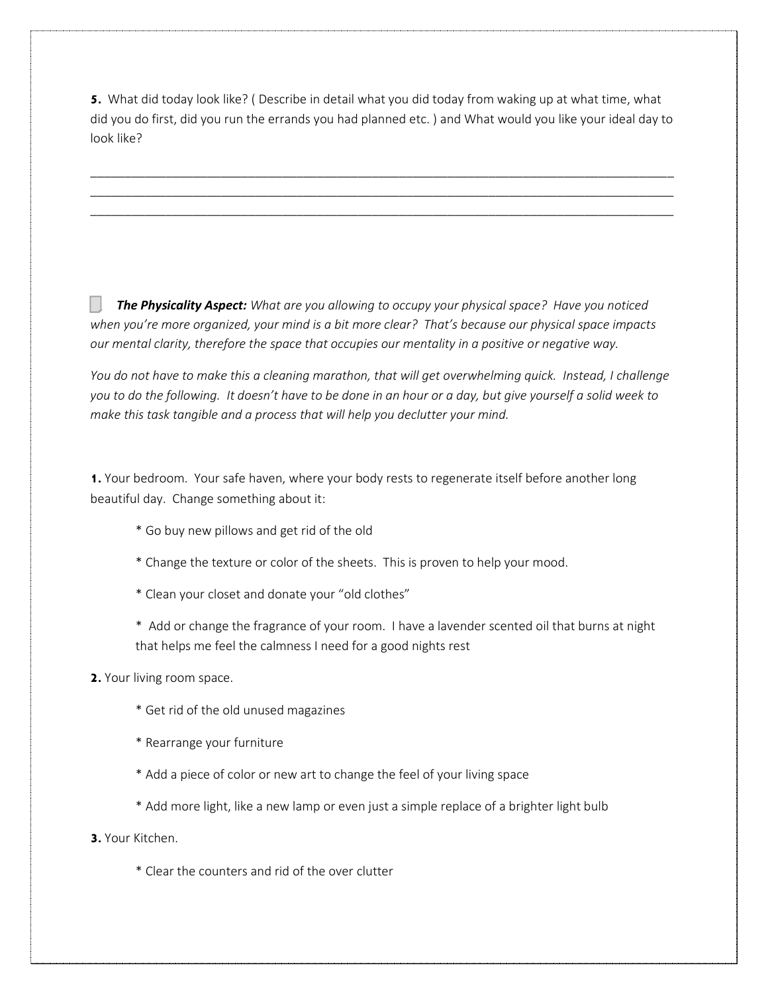5. What did today look like? ( Describe in detail what you did today from waking up at what time, what did you do first, did you run the errands you had planned etc. ) and What would you like your ideal day to look like?

\_\_\_\_\_\_\_\_\_\_\_\_\_\_\_\_\_\_\_\_\_\_\_\_\_\_\_\_\_\_\_\_\_\_\_\_\_\_\_\_\_\_\_\_\_\_\_\_\_\_\_\_\_\_\_\_\_\_\_\_\_\_\_\_\_\_\_\_\_\_\_\_\_\_\_\_\_\_\_\_\_\_\_\_\_ \_\_\_\_\_\_\_\_\_\_\_\_\_\_\_\_\_\_\_\_\_\_\_\_\_\_\_\_\_\_\_\_\_\_\_\_\_\_\_\_\_\_\_\_\_\_\_\_\_\_\_\_\_\_\_\_\_\_\_\_\_\_\_\_\_\_\_\_\_\_\_\_\_\_\_\_\_\_\_\_\_\_\_\_\_ \_\_\_\_\_\_\_\_\_\_\_\_\_\_\_\_\_\_\_\_\_\_\_\_\_\_\_\_\_\_\_\_\_\_\_\_\_\_\_\_\_\_\_\_\_\_\_\_\_\_\_\_\_\_\_\_\_\_\_\_\_\_\_\_\_\_\_\_\_\_\_\_\_\_\_\_\_\_\_\_\_\_\_\_\_

*The Physicality Aspect: What are you allowing to occupy your physical space? Have you noticed when you're more organized, your mind is a bit more clear? That's because our physical space impacts our mental clarity, therefore the space that occupies our mentality in a positive or negative way.* 

*You do not have to make this a cleaning marathon, that will get overwhelming quick. Instead, I challenge you to do the following. It doesn't have to be done in an hour or a day, but give yourself a solid week to make this task tangible and a process that will help you declutter your mind.* 

**1.** Your bedroom. Your safe haven, where your body rests to regenerate itself before another long beautiful day. Change something about it:

- \* Go buy new pillows and get rid of the old
- \* Change the texture or color of the sheets. This is proven to help your mood.
- \* Clean your closet and donate your "old clothes"

\* Add or change the fragrance of your room. I have a lavender scented oil that burns at night that helps me feel the calmness I need for a good nights rest

- **2.** Your living room space.
	- \* Get rid of the old unused magazines
	- \* Rearrange your furniture
	- \* Add a piece of color or new art to change the feel of your living space
	- \* Add more light, like a new lamp or even just a simple replace of a brighter light bulb
- **3.** Your Kitchen.
	- \* Clear the counters and rid of the over clutter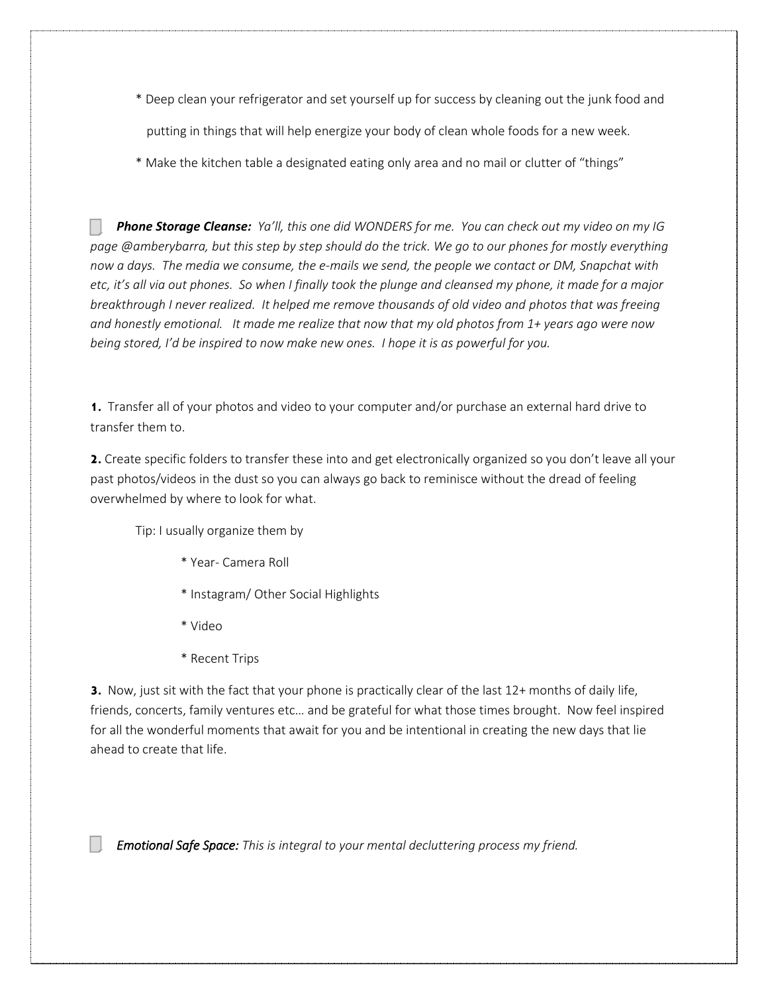- \* Deep clean your refrigerator and set yourself up for success by cleaning out the junk food and putting in things that will help energize your body of clean whole foods for a new week.
- \* Make the kitchen table a designated eating only area and no mail or clutter of "things"

*Phone Storage Cleanse: Ya'll, this one did WONDERS for me. You can check out my video on my IG page @amberybarra, but this step by step should do the trick. We go to our phones for mostly everything now a days. The media we consume, the e-mails we send, the people we contact or DM, Snapchat with etc, it's all via out phones. So when I finally took the plunge and cleansed my phone, it made for a major breakthrough I never realized. It helped me remove thousands of old video and photos that was freeing and honestly emotional. It made me realize that now that my old photos from 1+ years ago were now being stored, I'd be inspired to now make new ones. I hope it is as powerful for you.*

**1.** Transfer all of your photos and video to your computer and/or purchase an external hard drive to transfer them to.

2. Create specific folders to transfer these into and get electronically organized so you don't leave all your past photos/videos in the dust so you can always go back to reminisce without the dread of feeling overwhelmed by where to look for what.

Tip: I usually organize them by

- \* Year- Camera Roll
- \* Instagram/ Other Social Highlights
- \* Video
- \* Recent Trips

**3.** Now, just sit with the fact that your phone is practically clear of the last 12+ months of daily life, friends, concerts, family ventures etc… and be grateful for what those times brought. Now feel inspired for all the wonderful moments that await for you and be intentional in creating the new days that lie ahead to create that life.

*Emotional Safe Space: This is integral to your mental decluttering process my friend.*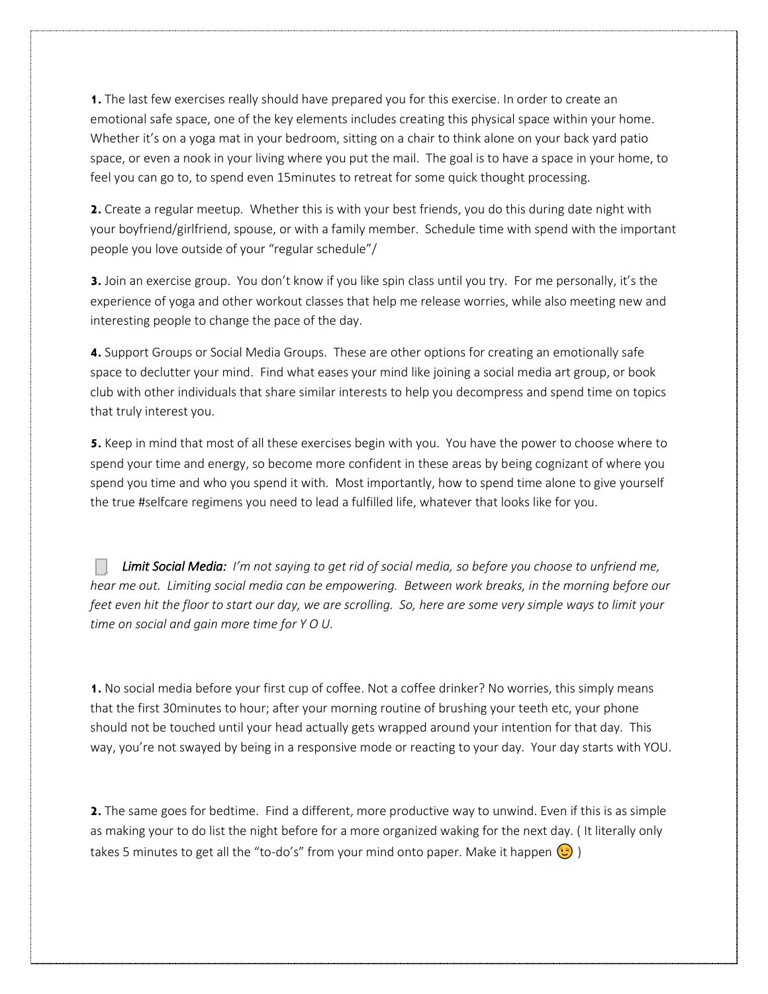1. The last few exercises really should have prepared you for this exercise. In order to create an emotional safe space, one of the key elements includes creating this physical space within your home. Whether it's on a yoga mat in your bedroom, sitting on a chair to think alone on your back yard patio space, or even a nook in your living where you put the mail. The goal is to have a space in your home, to feel you can go to, to spend even 15minutes to retreat for some quick thought processing.

**2.** Create a regular meetup. Whether this is with your best friends, you do this during date night with your boyfriend/girlfriend, spouse, or with a family member. Schedule time with spend with the important people you love outside of your "regular schedule"/

**3.** Join an exercise group. You don't know if you like spin class until you try. For me personally, it's the experience of yoga and other workout classes that help me release worries, while also meeting new and interesting people to change the pace of the day.

**4.** Support Groups or Social Media Groups. These are other options for creating an emotionally safe space to declutter your mind. Find what eases your mind like joining a social media art group, or book club with other individuals that share similar interests to help you decompress and spend time on topics that truly interest you.

**5.** Keep in mind that most of all these exercises begin with you. You have the power to choose where to spend your time and energy, so become more confident in these areas by being cognizant of where you spend you time and who you spend it with. Most importantly, how to spend time alone to give yourself the true #selfcare regimens you need to lead a fulfilled life, whatever that looks like for you.

*Limit Social Media: I'm not saying to get rid of social media, so before you choose to unfriend me, hear me out. Limiting social media can be empowering. Between work breaks, in the morning before our feet even hit the floor to start our day, we are scrolling. So, here are some very simple ways to limit your time on social and gain more time for Y O U.* 

**1.** No social media before your first cup of coffee. Not a coffee drinker? No worries, this simply means that the first 30minutes to hour; after your morning routine of brushing your teeth etc, your phone should not be touched until your head actually gets wrapped around your intention for that day. This way, you're not swayed by being in a responsive mode or reacting to your day. Your day starts with YOU.

**2.** The same goes for bedtime. Find a different, more productive way to unwind. Even if this is as simple as making your to do list the night before for a more organized waking for the next day. ( It literally only takes 5 minutes to get all the "to-do's" from your mind onto paper. Make it happen  $\left( \cdot \right)$ )